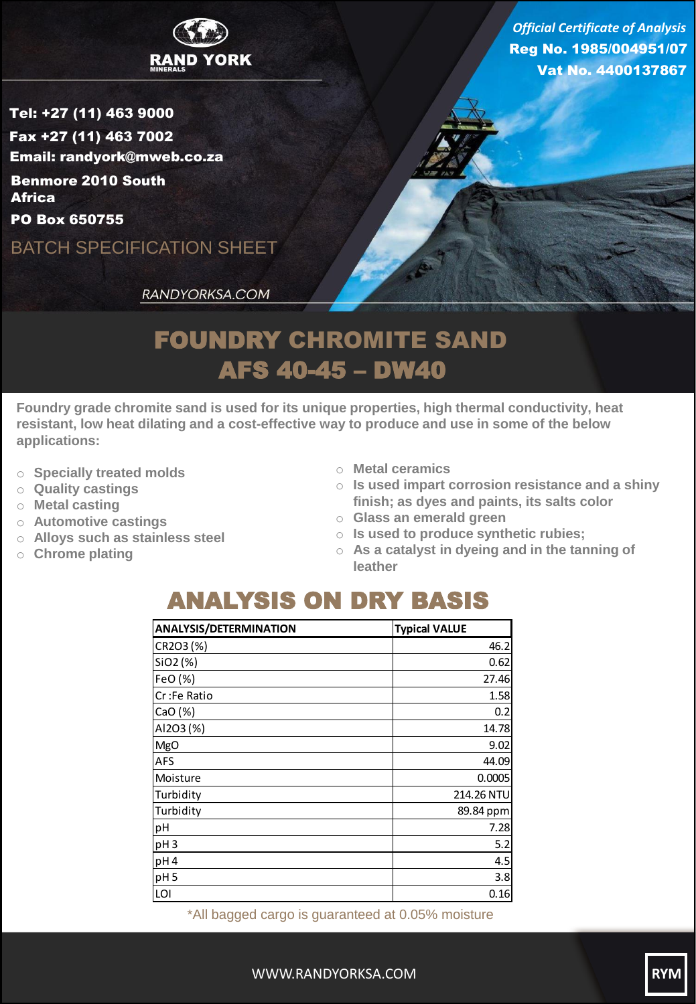

Reg No. 1985/004951/07 Vat No. 4400137867 *Official Certificate of Analysis*

Tel: +27 (11) 463 9000 Fax +27 (11) 463 7002 Email: randyork@mweb.co.za Benmore 2010 South **Africa** 

PO Box 650755

BATCH SPECIFICATION SHEET

RANDYORKSA.COM

## FOUNDRY CHROMITE SAND AFS 40-45 – DW40

**Foundry grade chromite sand is used for its unique properties, high thermal conductivity, heat resistant, low heat dilating and a cost-effective way to produce and use in some of the below applications:**

- o **Specially treated molds**
- o **Quality castings**
- o **Metal casting**
- o **Automotive castings**
- o **Alloys such as stainless steel**
- o **Chrome plating**
- o **Metal ceramics**
- o **Is used impart corrosion resistance and a shiny finish; as dyes and paints, its salts color**
- o **Glass an emerald green**
- o **Is used to produce synthetic rubies;**
- o **As a catalyst in dyeing and in the tanning of leather**

## ANALYSIS ON DRY BASIS

| <b>ANALYSIS/DETERMINATION</b> | <b>Typical VALUE</b> |
|-------------------------------|----------------------|
| CR2O3 (%)                     | 46.2                 |
| SiO2 (%)                      | 0.62                 |
| FeO (%)                       | 27.46                |
| Cr:Fe Ratio                   | 1.58                 |
| CaO(%)                        | 0.2                  |
| AI2O3 (%)                     | 14.78                |
| <b>MgO</b>                    | 9.02                 |
| <b>AFS</b>                    | 44.09                |
| Moisture                      | 0.0005               |
| Turbidity                     | 214.26 NTU           |
| Turbidity                     | 89.84 ppm            |
| pH                            | 7.28                 |
| pH <sub>3</sub>               | 5.2                  |
| pH <sub>4</sub>               | 4.5                  |
| pH <sub>5</sub>               | 3.8                  |
| LOI                           | 0.16                 |

\*All bagged cargo is guaranteed at 0.05% moisture